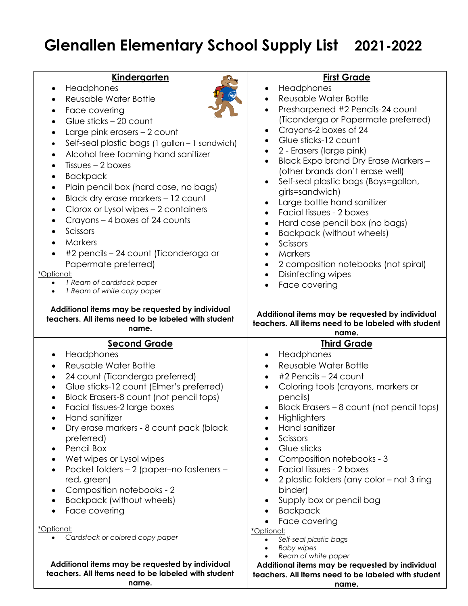## **Glenallen Elementary School Supply List 2021-2022**

| Kindergarten |
|--------------|
|--------------|

- Headphones
- Reusable Water Bottle
- Face covering



• Glue sticks – 20 count • Large pink erasers – 2 count • Self-seal plastic bags (1 gallon – 1 sandwich) • Alcohol free foaming hand sanitizer • Tissues – 2 boxes • Backpack • Plain pencil box (hard case, no bags) • Black dry erase markers – 12 count • Clorox or Lysol wipes – 2 containers • Crayons – 4 boxes of 24 counts • Scissors • Markers • #2 pencils – 24 count (Ticonderoga or Papermate preferred) \*Optional: • *1 Ream of cardstock paper* • *1 Ream of white copy paper* **Additional items may be requested by individual teachers. All items need to be labeled with student name.** • Crayons-2 boxes of 24 • Glue sticks-12 count • 2 - Erasers (large pink) • Black Expo brand Dry Erase Markers – (other brands don't erase well) • Self-seal plastic bags (Boys=gallon, girls=sandwich) • Large bottle hand sanitizer • Facial tissues - 2 boxes • Hard case pencil box (no bags) • Backpack (without wheels) • Scissors • Markers • 2 composition notebooks (not spiral) • Disinfecting wipes • Face covering **Additional items may be requested by individual name. Second Grade** • Headphones • Reusable Water Bottle • 24 count (Ticonderga preferred) • Glue sticks-12 count (Elmer's preferred) • Block Erasers-8 count (not pencil tops) • Facial tissues-2 large boxes • Hand sanitizer • Dry erase markers - 8 count pack (black preferred) • Pencil Box • Wet wipes or Lysol wipes • Pocket folders – 2 (paper–no fasteners – red, green) • Composition notebooks - 2 • Backpack (without wheels) • Face covering \*Optional: • *Cardstock or colored copy paper* **Third Grade** • Headphones • Reusable Water Bottle  $#2$  Pencils  $-24$  count • Coloring tools (crayons, markers or pencils) • Block Erasers – 8 count (not pencil tops) • Highlighters • Hand sanitizer • Scissors • Glue sticks • Composition notebooks - 3 • Facial tissues - 2 boxes • 2 plastic folders (any color – not 3 ring binder) Supply box or pencil bag **Backpack** Face covering \*Optional: • *Self-seal plastic bags*  • *Baby wipes* 

**Additional items may be requested by individual teachers. All items need to be labeled with student name.**

## **teachers. All items need to be labeled with student name.**

**Additional items may be requested by individual** 

• *Ream of white paper* 

- **First Grade** • Headphones
- Reusable Water Bottle
- Presharpened #2 Pencils-24 count (Ticonderga or Papermate preferred)

**teachers. All items need to be labeled with student**